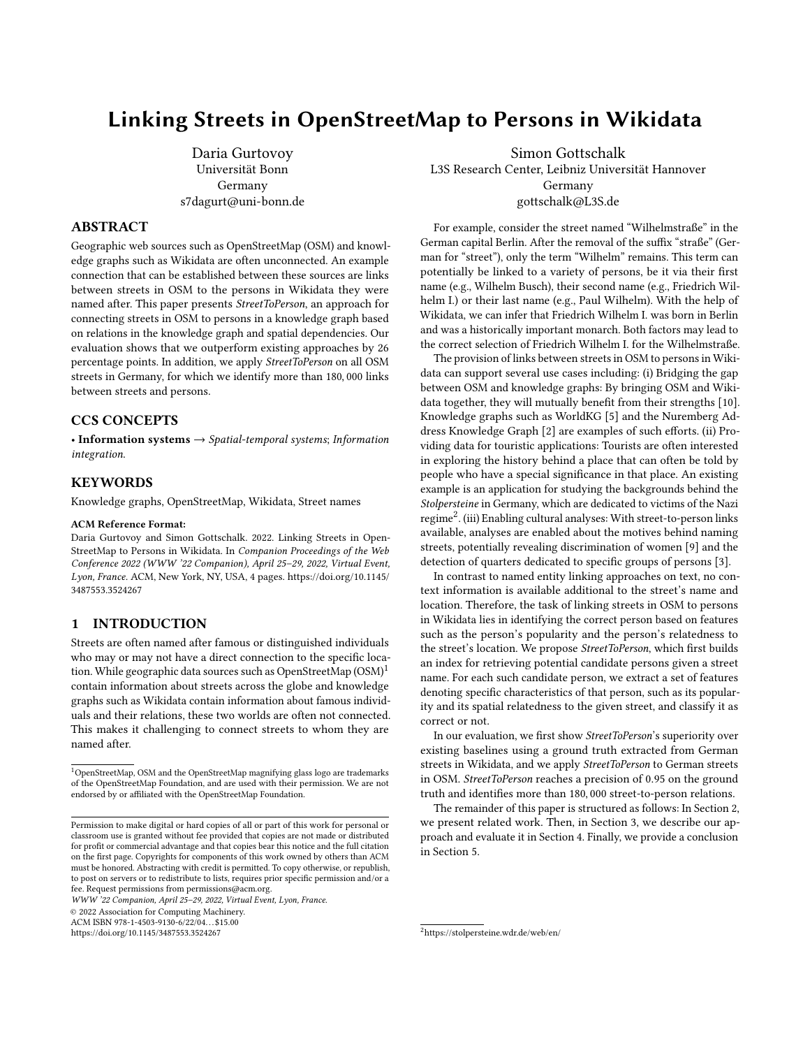# Linking Streets in OpenStreetMap to Persons in Wikidata

Daria Gurtovoy Universität Bonn Germany s7dagurt@uni-bonn.de

# ABSTRACT

Geographic web sources such as OpenStreetMap (OSM) and knowledge graphs such as Wikidata are often unconnected. An example connection that can be established between these sources are links between streets in OSM to the persons in Wikidata they were named after. This paper presents StreetToPerson, an approach for connecting streets in OSM to persons in a knowledge graph based on relations in the knowledge graph and spatial dependencies. Our evaluation shows that we outperform existing approaches by 26 percentage points. In addition, we apply StreetToPerson on all OSM streets in Germany, for which we identify more than 180, 000 links between streets and persons.

## CCS CONCEPTS

• Information systems  $\rightarrow$  Spatial-temporal systems; Information integration.

# **KEYWORDS**

Knowledge graphs, OpenStreetMap, Wikidata, Street names

#### ACM Reference Format:

Daria Gurtovoy and Simon Gottschalk. 2022. Linking Streets in Open-StreetMap to Persons in Wikidata. In Companion Proceedings of the Web Conference 2022 (WWW '22 Companion), April 25–29, 2022, Virtual Event, Lyon, France. ACM, New York, NY, USA, [4](#page-3-0) pages. [https://doi.org/10.1145/](https://doi.org/10.1145/3487553.3524267) [3487553.3524267](https://doi.org/10.1145/3487553.3524267)

## 1 INTRODUCTION

Streets are often named after famous or distinguished individuals who may or may not have a direct connection to the specific loca-tion. While geographic data sources such as OpenStreetMap (OSM)<sup>[1](#page-0-0)</sup> contain information about streets across the globe and knowledge graphs such as Wikidata contain information about famous individuals and their relations, these two worlds are often not connected. This makes it challenging to connect streets to whom they are named after.

WWW '22 Companion, April 25–29, 2022, Virtual Event, Lyon, France.

© 2022 Association for Computing Machinery.

ACM ISBN 978-1-4503-9130-6/22/04. . . \$15.00

<https://doi.org/10.1145/3487553.3524267>

[Simon Gottschalk](https://orcid.org/0000-0003-2576-4640) L3S Research Center, Leibniz Universität Hannover Germany gottschalk@L3S.de

For example, consider the street named "Wilhelmstraße" in the German capital Berlin. After the removal of the suffix "straße" (German for "street"), only the term "Wilhelm" remains. This term can potentially be linked to a variety of persons, be it via their first name (e.g., Wilhelm Busch), their second name (e.g., Friedrich Wilhelm I.) or their last name (e.g., Paul Wilhelm). With the help of Wikidata, we can infer that Friedrich Wilhelm I. was born in Berlin and was a historically important monarch. Both factors may lead to the correct selection of Friedrich Wilhelm I. for the Wilhelmstraße.

The provision of links between streets in OSM to persons in Wikidata can support several use cases including: (i) Bridging the gap between OSM and knowledge graphs: By bringing OSM and Wikidata together, they will mutually benefit from their strengths [\[10\]](#page-3-1). Knowledge graphs such as WorldKG [\[5\]](#page-3-2) and the Nuremberg Address Knowledge Graph [\[2\]](#page-3-3) are examples of such efforts. (ii) Providing data for touristic applications: Tourists are often interested in exploring the history behind a place that can often be told by people who have a special significance in that place. An existing example is an application for studying the backgrounds behind the Stolpersteine in Germany, which are dedicated to victims of the Nazi  $\mathrm{regime}^2$  $\mathrm{regime}^2$ . (iii) Enabling cultural analyses: With street-to-person links available, analyses are enabled about the motives behind naming streets, potentially revealing discrimination of women [\[9\]](#page-3-4) and the detection of quarters dedicated to specific groups of persons [\[3\]](#page-3-5).

In contrast to named entity linking approaches on text, no context information is available additional to the street's name and location. Therefore, the task of linking streets in OSM to persons in Wikidata lies in identifying the correct person based on features such as the person's popularity and the person's relatedness to the street's location. We propose StreetToPerson, which first builds an index for retrieving potential candidate persons given a street name. For each such candidate person, we extract a set of features denoting specific characteristics of that person, such as its popularity and its spatial relatedness to the given street, and classify it as correct or not.

In our evaluation, we first show StreetToPerson's superiority over existing baselines using a ground truth extracted from German streets in Wikidata, and we apply StreetToPerson to German streets in OSM. StreetToPerson reaches a precision of 0.95 on the ground truth and identifies more than 180, 000 street-to-person relations.

The remainder of this paper is structured as follows: In Section [2,](#page-1-0) we present related work. Then, in Section [3,](#page-1-1) we describe our approach and evaluate it in Section [4.](#page-2-0) Finally, we provide a conclusion in Section [5.](#page-3-6)

<span id="page-0-0"></span><sup>1</sup>OpenStreetMap, OSM and the OpenStreetMap magnifying glass logo are trademarks of the OpenStreetMap Foundation, and are used with their permission. We are not endorsed by or affiliated with the OpenStreetMap Foundation.

Permission to make digital or hard copies of all or part of this work for personal or classroom use is granted without fee provided that copies are not made or distributed for profit or commercial advantage and that copies bear this notice and the full citation on the first page. Copyrights for components of this work owned by others than ACM must be honored. Abstracting with credit is permitted. To copy otherwise, or republish, to post on servers or to redistribute to lists, requires prior specific permission and/or a fee. Request permissions from permissions@acm.org.

<span id="page-0-1"></span><sup>2</sup><https://stolpersteine.wdr.de/web/en/>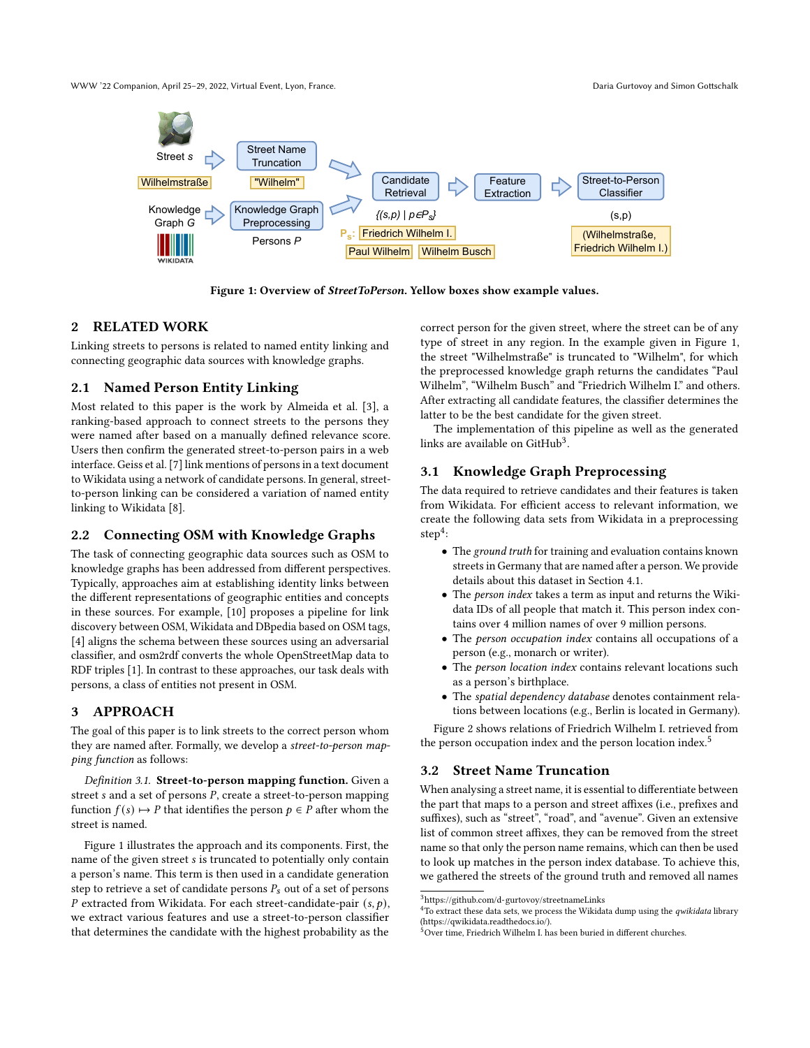<span id="page-1-2"></span>WWW '22 Companion, April 25–29, 2022, Virtual Event, Lyon, France. Daria Gurtovoy and Simon Gottschalk



Figure 1: Overview of StreetToPerson. Yellow boxes show example values.

# <span id="page-1-0"></span>2 RELATED WORK

Linking streets to persons is related to named entity linking and connecting geographic data sources with knowledge graphs.

# 2.1 Named Person Entity Linking

Most related to this paper is the work by Almeida et al. [\[3\]](#page-3-5), a ranking-based approach to connect streets to the persons they were named after based on a manually defined relevance score. Users then confirm the generated street-to-person pairs in a web interface. Geiss et al. [\[7\]](#page-3-7) link mentions of persons in a text document to Wikidata using a network of candidate persons. In general, streetto-person linking can be considered a variation of named entity linking to Wikidata [\[8\]](#page-3-8).

# 2.2 Connecting OSM with Knowledge Graphs

The task of connecting geographic data sources such as OSM to knowledge graphs has been addressed from different perspectives. Typically, approaches aim at establishing identity links between the different representations of geographic entities and concepts in these sources. For example, [\[10\]](#page-3-1) proposes a pipeline for link discovery between OSM, Wikidata and DBpedia based on OSM tags, [\[4\]](#page-3-9) aligns the schema between these sources using an adversarial classifier, and osm2rdf converts the whole OpenStreetMap data to RDF triples [\[1\]](#page-3-10). In contrast to these approaches, our task deals with persons, a class of entities not present in OSM.

# <span id="page-1-1"></span>3 APPROACH

The goal of this paper is to link streets to the correct person whom they are named after. Formally, we develop a street-to-person mapping function as follows:

Definition 3.1. Street-to-person mapping function. Given a street  $s$  and a set of persons  $P$ , create a street-to-person mapping function  $f(s) \mapsto P$  that identifies the person  $p \in P$  after whom the street is named.

Figure [1](#page-1-2) illustrates the approach and its components. First, the name of the given street *s* is truncated to potentially only contain a person's name. This term is then used in a candidate generation step to retrieve a set of candidate persons  $P_s$  out of a set of persons P extracted from Wikidata. For each street-candidate-pair  $(s, p)$ , we extract various features and use a street-to-person classifier that determines the candidate with the highest probability as the

correct person for the given street, where the street can be of any type of street in any region. In the example given in Figure [1,](#page-1-2) the street "Wilhelmstraße" is truncated to "Wilhelm", for which the preprocessed knowledge graph returns the candidates "Paul Wilhelm", "Wilhelm Busch" and "Friedrich Wilhelm I." and others. After extracting all candidate features, the classifier determines the latter to be the best candidate for the given street.

The implementation of this pipeline as well as the generated links are available on GitHub<sup>[3](#page-1-3)</sup>.

# 3.1 Knowledge Graph Preprocessing

The data required to retrieve candidates and their features is taken from Wikidata. For efficient access to relevant information, we create the following data sets from Wikidata in a preprocessing  $step<sup>4</sup>$  $step<sup>4</sup>$  $step<sup>4</sup>$ :

- The ground truth for training and evaluation contains known streets in Germany that are named after a person. We provide details about this dataset in Section [4.1.](#page-2-1)
- The person index takes a term as input and returns the Wikidata IDs of all people that match it. This person index contains over 4 million names of over 9 million persons.
- The person occupation index contains all occupations of a person (e.g., monarch or writer).
- The person location index contains relevant locations such as a person's birthplace.
- The spatial dependency database denotes containment relations between locations (e.g., Berlin is located in Germany).

Figure [2](#page-2-2) shows relations of Friedrich Wilhelm I. retrieved from the person occupation index and the person location index.<sup>[5](#page-1-5)</sup>

#### 3.2 Street Name Truncation

When analysing a street name, it is essential to differentiate between the part that maps to a person and street affixes (i.e., prefixes and suffixes), such as "street", "road", and "avenue". Given an extensive list of common street affixes, they can be removed from the street name so that only the person name remains, which can then be used to look up matches in the person index database. To achieve this, we gathered the streets of the ground truth and removed all names

<span id="page-1-3"></span> $^3$ <https://github.com/d-gurtovoy/streetnameLinks>

<span id="page-1-4"></span> $^{4}$ To extract these data sets, we process the Wikidata dump using the  $q$ wi*kidata* library [\(https://qwikidata.readthedocs.io/\)](https://qwikidata.readthedocs.io/).

<span id="page-1-5"></span> $5$ Over time, Friedrich Wilhelm I. has been buried in different churches.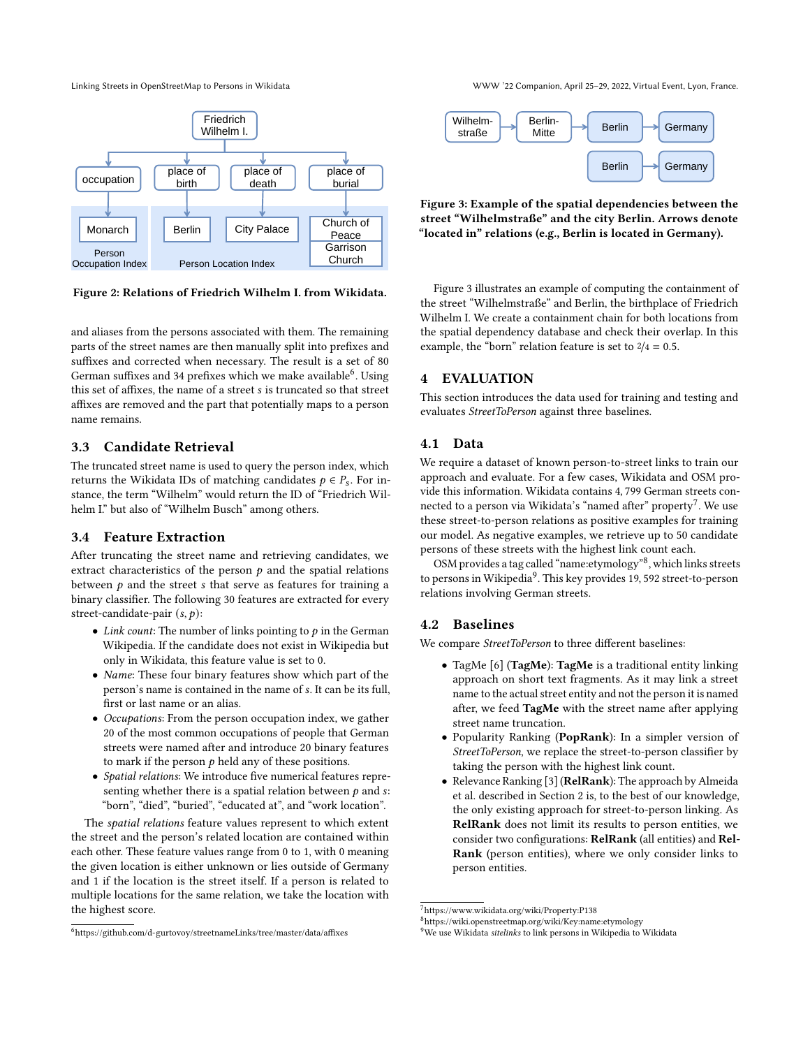<span id="page-2-2"></span>

Figure 2: Relations of Friedrich Wilhelm I. from Wikidata.

and aliases from the persons associated with them. The remaining parts of the street names are then manually split into prefixes and suffixes and corrected when necessary. The result is a set of 80 German suffixes and 34 prefixes which we make available $^6$  $^6$ . Using this set of affixes, the name of a street  $s$  is truncated so that street affixes are removed and the part that potentially maps to a person name remains.

#### 3.3 Candidate Retrieval

The truncated street name is used to query the person index, which returns the Wikidata IDs of matching candidates  $p \in P_s$ . For instance, the term "Wilhelm" would return the ID of "Friedrich Wilhelm I." but also of "Wilhelm Busch" among others.

## 3.4 Feature Extraction

After truncating the street name and retrieving candidates, we extract characteristics of the person  $p$  and the spatial relations between  $p$  and the street  $s$  that serve as features for training a binary classifier. The following 30 features are extracted for every street-candidate-pair  $(s, p)$ :

- Link count: The number of links pointing to  $p$  in the German Wikipedia. If the candidate does not exist in Wikipedia but only in Wikidata, this feature value is set to 0.
- Name: These four binary features show which part of the person's name is contained in the name of s. It can be its full, first or last name or an alias.
- Occupations: From the person occupation index, we gather 20 of the most common occupations of people that German streets were named after and introduce 20 binary features to mark if the person  $p$  held any of these positions.
- Spatial relations: We introduce five numerical features representing whether there is a spatial relation between  $p$  and  $s$ : "born", "died", "buried", "educated at", and "work location".

The spatial relations feature values represent to which extent the street and the person's related location are contained within each other. These feature values range from 0 to 1, with 0 meaning the given location is either unknown or lies outside of Germany and 1 if the location is the street itself. If a person is related to multiple locations for the same relation, we take the location with the highest score.

Linking Streets in OpenStreetMap to Persons in Wikidata WWW '22 Companion, April 25–29, 2022, Virtual Event, Lyon, France.

<span id="page-2-4"></span>

Figure 3: Example of the spatial dependencies between the street "Wilhelmstraße" and the city Berlin. Arrows denote "located in" relations (e.g., Berlin is located in Germany).

Figure [3](#page-2-4) illustrates an example of computing the containment of the street "Wilhelmstraße" and Berlin, the birthplace of Friedrich Wilhelm I. We create a containment chain for both locations from the spatial dependency database and check their overlap. In this example, the "born" relation feature is set to  $2/4 = 0.5$ .

# <span id="page-2-0"></span>4 EVALUATION

This section introduces the data used for training and testing and evaluates StreetToPerson against three baselines.

## <span id="page-2-1"></span>4.1 Data

We require a dataset of known person-to-street links to train our approach and evaluate. For a few cases, Wikidata and OSM provide this information. Wikidata contains 4, 799 German streets con-nected to a person via Wikidata's "named after" property<sup>[7](#page-2-5)</sup>. We use these street-to-person relations as positive examples for training our model. As negative examples, we retrieve up to 50 candidate persons of these streets with the highest link count each.

OSM provides a tag called "name:etymology"<sup>[8](#page-2-6)</sup>, which links streets to persons in Wikipedia<sup>[9](#page-2-7)</sup>. This key provides 19, 592 street-to-person relations involving German streets.

# 4.2 Baselines

We compare StreetToPerson to three different baselines:

- TagMe [\[6\]](#page-3-11) (TagMe): TagMe is a traditional entity linking approach on short text fragments. As it may link a street name to the actual street entity and not the person it is named after, we feed TagMe with the street name after applying street name truncation.
- Popularity Ranking (PopRank): In a simpler version of StreetToPerson, we replace the street-to-person classifier by taking the person with the highest link count.
- Relevance Ranking [\[3\]](#page-3-5) (RelRank): The approach by Almeida et al. described in Section [2](#page-1-0) is, to the best of our knowledge, the only existing approach for street-to-person linking. As RelRank does not limit its results to person entities, we consider two configurations: RelRank (all entities) and Rel-Rank (person entities), where we only consider links to person entities.

<span id="page-2-3"></span> $<sup>6</sup>$ <https://github.com/d-gurtovoy/streetnameLinks/tree/master/data/affixes></sup>

<span id="page-2-5"></span><sup>7</sup><https://www.wikidata.org/wiki/Property:P138>

<span id="page-2-6"></span><sup>8</sup><https://wiki.openstreetmap.org/wiki/Key:name:etymology>

<span id="page-2-7"></span><sup>&</sup>lt;sup>9</sup>We use Wikidata sitelinks to link persons in Wikipedia to Wikidata